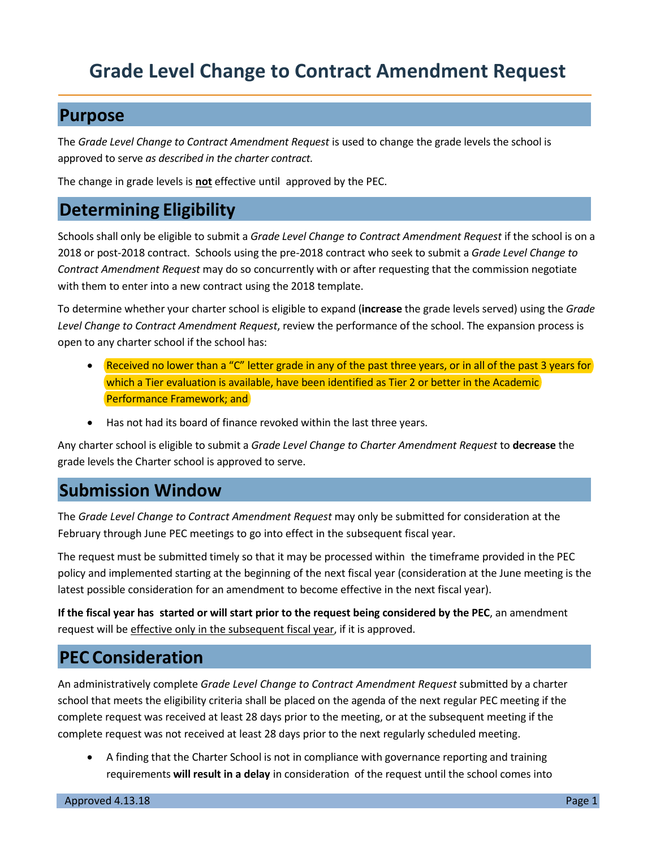## **Purpose**

The *Grade Level Change to Contract Amendment Request* is used to change the grade levels the school is approved to serve *as described in the charter contract.*

The change in grade levels is **not** effective until approved by the PEC.

## **Determining Eligibility**

Schools shall only be eligible to submit a *Grade Level Change to Contract Amendment Request* if the school is on a 2018 or post-2018 contract. Schools using the pre-2018 contract who seek to submit a *Grade Level Change to Contract Amendment Request* may do so concurrently with or after requesting that the commission negotiate with them to enter into a new contract using the 2018 template.

To determine whether your charter school is eligible to expand (**increase** the grade levels served) using the *Grade Level Change to Contract Amendment Request*, review the performance of the school. The expansion process is open to any charter school if the school has:

- Received no lower than a "C" letter grade in any of the past three years, or in all of the past 3 years for which a Tier evaluation is available, have been identified as Tier 2 or better in the Academic Performance Framework; and
- Has not had its board of finance revoked within the last three years.

Any charter school is eligible to submit a *Grade Level Change to Charter Amendment Request* to **decrease** the grade levels the Charter school is approved to serve.

## **Submission Window**

The *Grade Level Change to Contract Amendment Request* may only be submitted for consideration at the February through June PEC meetings to go into effect in the subsequent fiscal year.

The request must be submitted timely so that it may be processed within the timeframe provided in the PEC policy and implemented starting at the beginning of the next fiscal year (consideration at the June meeting is the latest possible consideration for an amendment to become effective in the next fiscal year).

**If the fiscal year has started or will start prior to the request being considered by the PEC**, an amendment request will be effective only in the subsequent fiscal year, if it is approved.

## **PEC Consideration**

An administratively complete *Grade Level Change to Contract Amendment Request* submitted by a charter school that meets the eligibility criteria shall be placed on the agenda of the next regular PEC meeting if the complete request was received at least 28 days prior to the meeting, or at the subsequent meeting if the complete request was not received at least 28 days prior to the next regularly scheduled meeting.

• A finding that the Charter School is not in compliance with governance reporting and training requirements **will result in a delay** in consideration of the request until the school comes into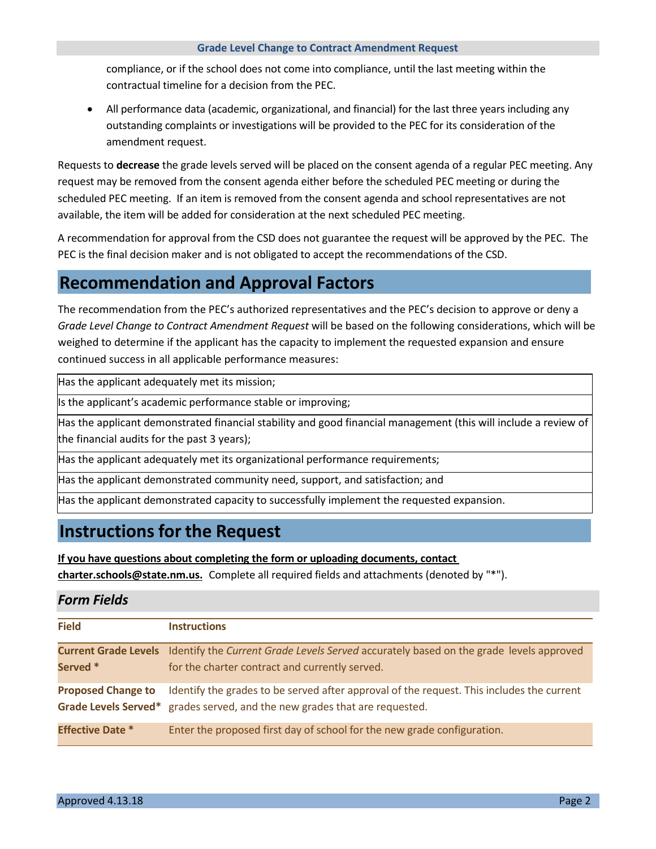compliance, or if the school does not come into compliance, until the last meeting within the contractual timeline for a decision from the PEC.

• All performance data (academic, organizational, and financial) for the last three years including any outstanding complaints or investigations will be provided to the PEC for its consideration of the amendment request.

Requests to **decrease** the grade levels served will be placed on the consent agenda of a regular PEC meeting. Any request may be removed from the consent agenda either before the scheduled PEC meeting or during the scheduled PEC meeting. If an item is removed from the consent agenda and school representatives are not available, the item will be added for consideration at the next scheduled PEC meeting.

A recommendation for approval from the CSD does not guarantee the request will be approved by the PEC. The PEC is the final decision maker and is not obligated to accept the recommendations of the CSD.

## **Recommendation and Approval Factors**

The recommendation from the PEC's authorized representatives and the PEC's decision to approve or deny a *Grade Level Change to Contract Amendment Request* will be based on the following considerations, which will be weighed to determine if the applicant has the capacity to implement the requested expansion and ensure continued success in all applicable performance measures:

Has the applicant adequately met its mission;

Is the applicant's academic performance stable or improving;

Has the applicant demonstrated financial stability and good financial management (this will include a review of the financial audits for the past 3 years);

Has the applicant adequately met its organizational performance requirements;

Has the applicant demonstrated community need, support, and satisfaction; and

Has the applicant demonstrated capacity to successfully implement the requested expansion.

## **Instructions for the Request**

**If you have questions about completing the form or uploading documents, contact** 

**charter.schools@state.nm.us.** Complete all required fields and attachments (denoted by "\*").

## *Form Fields*

| <b>Field</b>              | <b>Instructions</b>                                                                                                                                                     |
|---------------------------|-------------------------------------------------------------------------------------------------------------------------------------------------------------------------|
| Served *                  | <b>Current Grade Levels</b> Identify the Current Grade Levels Served accurately based on the grade levels approved<br>for the charter contract and currently served.    |
| <b>Proposed Change to</b> | Identify the grades to be served after approval of the request. This includes the current<br>Grade Levels Served* grades served, and the new grades that are requested. |
| <b>Effective Date *</b>   | Enter the proposed first day of school for the new grade configuration.                                                                                                 |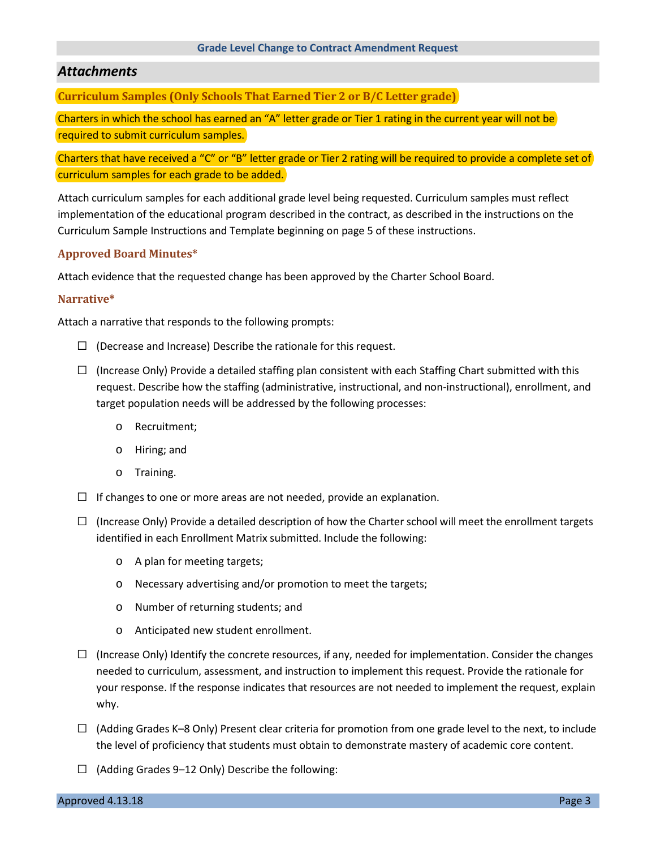## *Attachments*

**Curriculum Samples (Only Schools That Earned Tier 2 or B/C Letter grade)**

Charters in which the school has earned an "A" letter grade or Tier 1 rating in the current year will not be required to submit curriculum samples.

Charters that have received a "C" or "B" letter grade or Tier 2 rating will be required to provide a complete set of curriculum samples for each grade to be added.

Attach curriculum samples for each additional grade level being requested. Curriculum samples must reflect implementation of the educational program described in the contract, as described in the instructions on the Curriculum Sample Instructions and Template beginning on page 5 of these instructions.

### **Approved Board Minutes\***

Attach evidence that the requested change has been approved by the Charter School Board.

#### **Narrative\***

Attach a narrative that responds to the following prompts:

- $\Box$  (Decrease and Increase) Describe the rationale for this request.
- $\square$  (Increase Only) Provide a detailed staffing plan consistent with each Staffing Chart submitted with this request. Describe how the staffing (administrative, instructional, and non-instructional), enrollment, and target population needs will be addressed by the following processes:
	- o Recruitment;
	- o Hiring; and
	- o Training.
- $\Box$  If changes to one or more areas are not needed, provide an explanation.
- $\square$  (Increase Only) Provide a detailed description of how the Charter school will meet the enrollment targets identified in each Enrollment Matrix submitted. Include the following:
	- o A plan for meeting targets;
	- o Necessary advertising and/or promotion to meet the targets;
	- o Number of returning students; and
	- o Anticipated new student enrollment.
- $\Box$  (Increase Only) Identify the concrete resources, if any, needed for implementation. Consider the changes needed to curriculum, assessment, and instruction to implement this request. Provide the rationale for your response. If the response indicates that resources are not needed to implement the request, explain why.
- $\Box$  (Adding Grades K–8 Only) Present clear criteria for promotion from one grade level to the next, to include the level of proficiency that students must obtain to demonstrate mastery of academic core content.
- $\Box$  (Adding Grades 9–12 Only) Describe the following: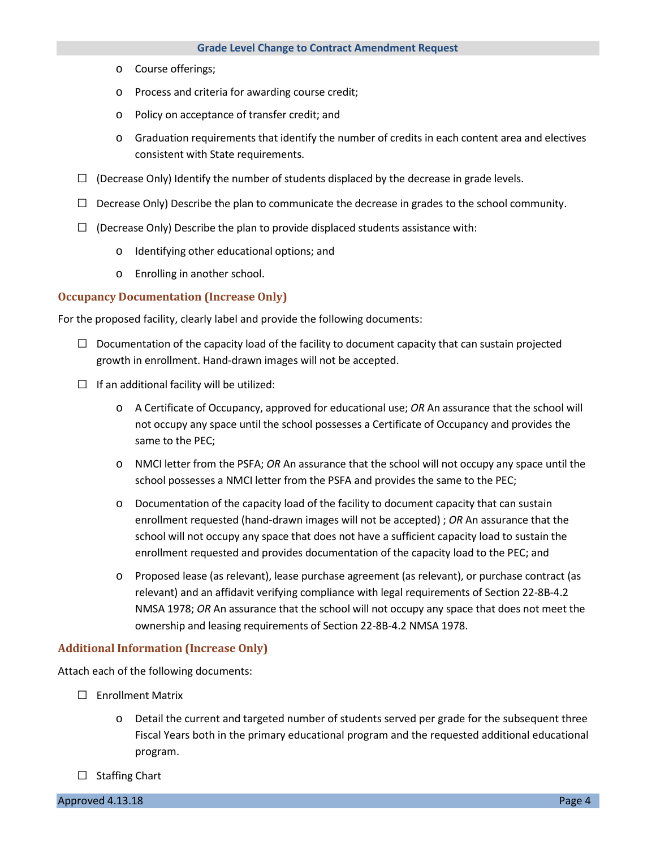- o Course offerings;
- o Process and criteria for awarding course credit;
- o Policy on acceptance of transfer credit; and
- o Graduation requirements that identify the number of credits in each content area and electives consistent with State requirements.
- $\Box$  (Decrease Only) Identify the number of students displaced by the decrease in grade levels.
- $\Box$  Decrease Only) Describe the plan to communicate the decrease in grades to the school community.
- $\square$  (Decrease Only) Describe the plan to provide displaced students assistance with:
	- o Identifying other educational options; and
	- o Enrolling in another school.

#### **Occupancy Documentation (Increase Only)**

For the proposed facility, clearly label and provide the following documents:

- $\Box$  Documentation of the capacity load of the facility to document capacity that can sustain projected growth in enrollment. Hand-drawn images will not be accepted.
- $\Box$  If an additional facility will be utilized:
	- o A Certificate of Occupancy, approved for educational use; *OR* An assurance that the school will not occupy any space until the school possesses a Certificate of Occupancy and provides the same to the PEC;
	- o NMCI letter from the PSFA; *OR* An assurance that the school will not occupy any space until the school possesses a NMCI letter from the PSFA and provides the same to the PEC;
	- o Documentation of the capacity load of the facility to document capacity that can sustain enrollment requested (hand-drawn images will not be accepted) ; *OR* An assurance that the school will not occupy any space that does not have a sufficient capacity load to sustain the enrollment requested and provides documentation of the capacity load to the PEC; and
	- o Proposed lease (as relevant), lease purchase agreement (as relevant), or purchase contract (as relevant) and an affidavit verifying compliance with legal requirements of Section 22-8B-4.2 NMSA 1978; *OR* An assurance that the school will not occupy any space that does not meet the ownership and leasing requirements of Section 22-8B-4.2 NMSA 1978.

#### **Additional Information (Increase Only)**

Attach each of the following documents:

- □ Enrollment Matrix
	- o Detail the current and targeted number of students served per grade for the subsequent three Fiscal Years both in the primary educational program and the requested additional educational program.
- □ Staffing Chart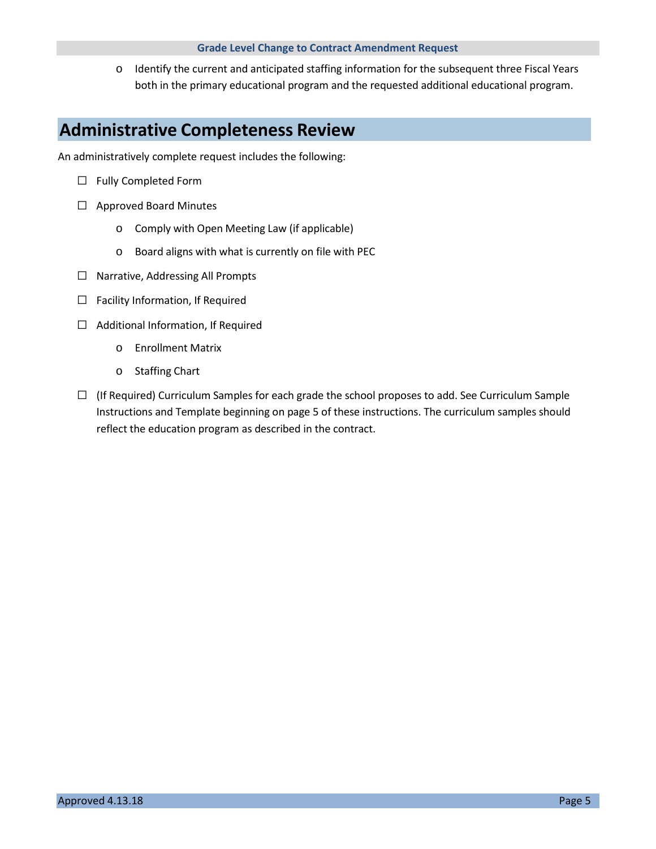o Identify the current and anticipated staffing information for the subsequent three Fiscal Years both in the primary educational program and the requested additional educational program.

## **Administrative Completeness Review**

An administratively complete request includes the following:

- □ Fully Completed Form
- □ Approved Board Minutes
	- o Comply with Open Meeting Law (if applicable)
	- o Board aligns with what is currently on file with PEC
- □ Narrative, Addressing All Prompts
- $\square$  Facility Information, If Required
- $\Box$  Additional Information, If Required
	- o Enrollment Matrix
	- o Staffing Chart
- $\Box$  (If Required) Curriculum Samples for each grade the school proposes to add. See Curriculum Sample Instructions and Template beginning on page 5 of these instructions. The curriculum samples should reflect the education program as described in the contract.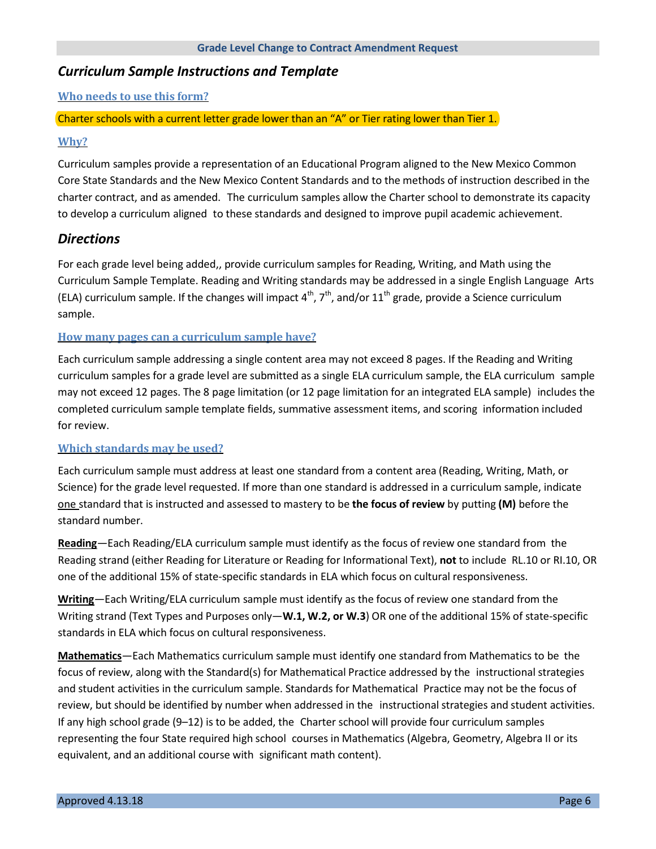### *Curriculum Sample Instructions and Template*

**Who needs to use this form?**

### Charter schools with a current letter grade lower than an "A" or Tier rating lower than Tier 1.

### **Why?**

Curriculum samples provide a representation of an Educational Program aligned to the New Mexico Common Core State Standards and the New Mexico Content Standards and to the methods of instruction described in the charter contract, and as amended. The curriculum samples allow the Charter school to demonstrate its capacity to develop a curriculum aligned to these standards and designed to improve pupil academic achievement.

### *Directions*

For each grade level being added,, provide curriculum samples for Reading, Writing, and Math using the Curriculum Sample Template. Reading and Writing standards may be addressed in a single English Language Arts (ELA) curriculum sample. If the changes will impact  $4^{th}$ ,  $7^{th}$ , and/or  $11^{th}$  grade, provide a Science curriculum sample.

### **How many pages can a curriculum sample have?**

Each curriculum sample addressing a single content area may not exceed 8 pages. If the Reading and Writing curriculum samples for a grade level are submitted as a single ELA curriculum sample, the ELA curriculum sample may not exceed 12 pages. The 8 page limitation (or 12 page limitation for an integrated ELA sample) includes the completed curriculum sample template fields, summative assessment items, and scoring information included for review.

#### **Which standards may be used?**

Each curriculum sample must address at least one standard from a content area (Reading, Writing, Math, or Science) for the grade level requested. If more than one standard is addressed in a curriculum sample, indicate one standard that is instructed and assessed to mastery to be **the focus of review** by putting **(M)** before the standard number.

**Reading**—Each Reading/ELA curriculum sample must identify as the focus of review one standard from the Reading strand (either Reading for Literature or Reading for Informational Text), **not** to include RL.10 or RI.10, OR one of the additional 15% of state-specific standards in ELA which focus on cultural responsiveness.

**Writing**—Each Writing/ELA curriculum sample must identify as the focus of review one standard from the Writing strand (Text Types and Purposes only—**W.1, W.2, or W.3**) OR one of the additional 15% of state-specific standards in ELA which focus on cultural responsiveness.

**Mathematics**—Each Mathematics curriculum sample must identify one standard from Mathematics to be the focus of review, along with the Standard(s) for Mathematical Practice addressed by the instructional strategies and student activities in the curriculum sample. Standards for Mathematical Practice may not be the focus of review, but should be identified by number when addressed in the instructional strategies and student activities. If any high school grade (9–12) is to be added, the Charter school will provide four curriculum samples representing the four State required high school courses in Mathematics (Algebra, Geometry, Algebra II or its equivalent, and an additional course with significant math content).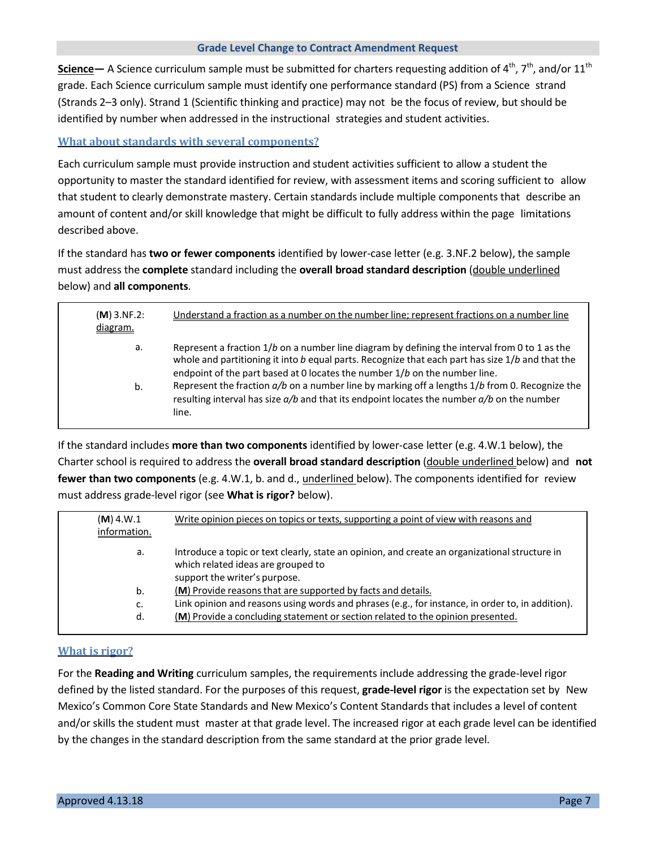Science — A Science curriculum sample must be submitted for charters requesting addition of 4<sup>th</sup>, 7<sup>th</sup>, and/or 11<sup>th</sup> grade. Each Science curriculum sample must identify one performance standard (PS) from a Science strand (Strands 2–3 only). Strand 1 (Scientific thinking and practice) may not be the focus of review, but should be identified by number when addressed in the instructional strategies and student activities.

**What about standards with several components?**

Each curriculum sample must provide instruction and student activities sufficient to allow a student the opportunity to master the standard identified for review, with assessment items and scoring sufficient to allow that student to clearly demonstrate mastery. Certain standards include multiple components that describe an amount of content and/or skill knowledge that might be difficult to fully address within the page limitations described above.

If the standard has **two or fewer components** identified by lower-case letter (e.g. 3.NF.2 below), the sample must address the **complete** standard including the **overall broad standard description** (double underlined below) and **all components**.

| $(M)$ 3.NF.2:<br>diagram. | Understand a fraction as a number on the number line; represent fractions on a number line                                                                                                                                                                                        |
|---------------------------|-----------------------------------------------------------------------------------------------------------------------------------------------------------------------------------------------------------------------------------------------------------------------------------|
| а.                        | Represent a fraction $1/b$ on a number line diagram by defining the interval from 0 to 1 as the<br>whole and partitioning it into b equal parts. Recognize that each part has size 1/b and that the<br>endpoint of the part based at 0 locates the number 1/b on the number line. |
| b.                        | Represent the fraction a/b on a number line by marking off a lengths 1/b from 0. Recognize the<br>resulting interval has size $a/b$ and that its endpoint locates the number $a/b$ on the number<br>line.                                                                         |

If the standard includes **more than two components** identified by lower-case letter (e.g. 4.W.1 below), the Charter school is required to address the **overall broad standard description** (double underlined below) and **not fewer than two components** (e.g. 4.W.1, b. and d., underlined below). The components identified for review must address grade-level rigor (see **What is rigor?** below).

| $(M)$ 4.W.1  | Write opinion pieces on topics or texts, supporting a point of view with reasons and                                                                                  |
|--------------|-----------------------------------------------------------------------------------------------------------------------------------------------------------------------|
| information. |                                                                                                                                                                       |
| а.           | Introduce a topic or text clearly, state an opinion, and create an organizational structure in<br>which related ideas are grouped to<br>support the writer's purpose. |
| b.           | (M) Provide reasons that are supported by facts and details.                                                                                                          |
| c.           | Link opinion and reasons using words and phrases (e.g., for instance, in order to, in addition).                                                                      |
| d.           | (M) Provide a concluding statement or section related to the opinion presented.                                                                                       |

### **What is rigor?**

For the **Reading and Writing** curriculum samples, the requirements include addressing the grade-level rigor defined by the listed standard. For the purposes of this request, **grade-level rigor** is the expectation set by New Mexico's Common Core State Standards and New Mexico's Content Standards that includes a level of content and/or skills the student must master at that grade level. The increased rigor at each grade level can be identified by the changes in the standard description from the same standard at the prior grade level.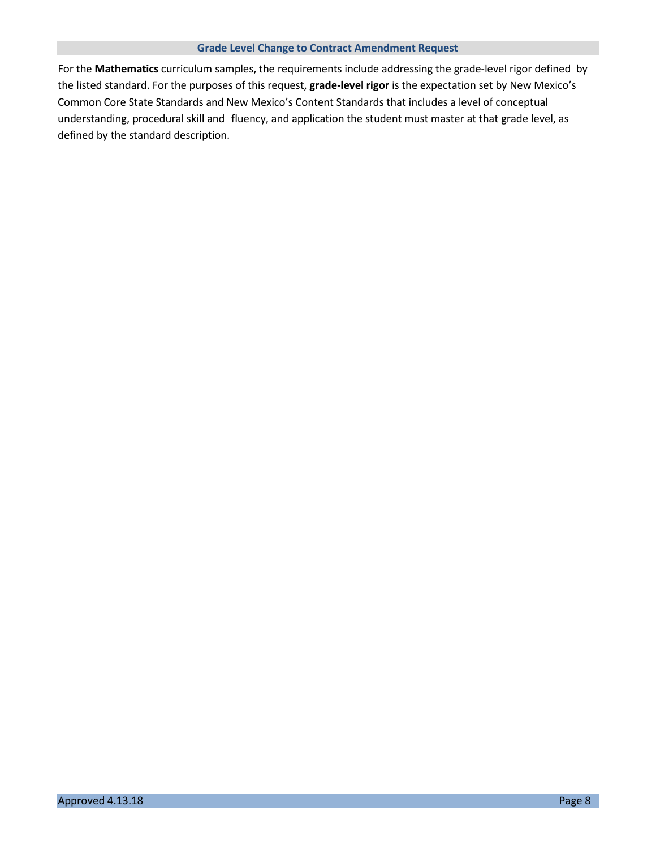For the **Mathematics** curriculum samples, the requirements include addressing the grade-level rigor defined by the listed standard. For the purposes of this request, **grade-level rigor** is the expectation set by New Mexico's Common Core State Standards and New Mexico's Content Standards that includes a level of conceptual understanding, procedural skill and fluency, and application the student must master at that grade level, as defined by the standard description.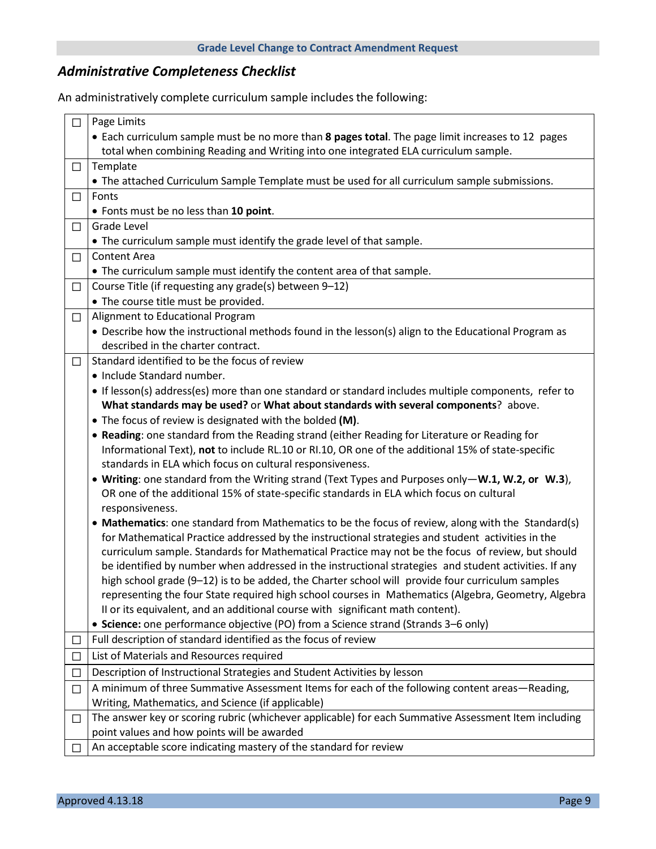## *Administrative Completeness Checklist*

An administratively complete curriculum sample includes the following:

| □            | Page Limits                                                                                           |  |
|--------------|-------------------------------------------------------------------------------------------------------|--|
|              | • Each curriculum sample must be no more than 8 pages total. The page limit increases to 12 pages     |  |
|              | total when combining Reading and Writing into one integrated ELA curriculum sample.                   |  |
| $\Box$       | Template                                                                                              |  |
|              | • The attached Curriculum Sample Template must be used for all curriculum sample submissions.         |  |
| $\Box$       | Fonts                                                                                                 |  |
|              | • Fonts must be no less than 10 point.                                                                |  |
| $\Box$       | Grade Level                                                                                           |  |
|              | • The curriculum sample must identify the grade level of that sample.                                 |  |
| $\Box$       | <b>Content Area</b>                                                                                   |  |
|              | • The curriculum sample must identify the content area of that sample.                                |  |
| $\Box$       | Course Title (if requesting any grade(s) between 9-12)                                                |  |
|              | • The course title must be provided.                                                                  |  |
| $\Box$       | Alignment to Educational Program                                                                      |  |
|              | • Describe how the instructional methods found in the lesson(s) align to the Educational Program as   |  |
|              | described in the charter contract.                                                                    |  |
| $\Box$       | Standard identified to be the focus of review                                                         |  |
|              | • Include Standard number.                                                                            |  |
|              | If lesson(s) address(es) more than one standard or standard includes multiple components, refer to    |  |
|              | What standards may be used? or What about standards with several components? above.                   |  |
|              | • The focus of review is designated with the bolded (M).                                              |  |
|              | . Reading: one standard from the Reading strand (either Reading for Literature or Reading for         |  |
|              | Informational Text), not to include RL.10 or RI.10, OR one of the additional 15% of state-specific    |  |
|              | standards in ELA which focus on cultural responsiveness.                                              |  |
|              | • Writing: one standard from the Writing strand (Text Types and Purposes only-W.1, W.2, or W.3),      |  |
|              | OR one of the additional 15% of state-specific standards in ELA which focus on cultural               |  |
|              | responsiveness.                                                                                       |  |
|              | • Mathematics: one standard from Mathematics to be the focus of review, along with the Standard(s)    |  |
|              | for Mathematical Practice addressed by the instructional strategies and student activities in the     |  |
|              | curriculum sample. Standards for Mathematical Practice may not be the focus of review, but should     |  |
|              | be identified by number when addressed in the instructional strategies and student activities. If any |  |
|              | high school grade (9-12) is to be added, the Charter school will provide four curriculum samples      |  |
|              | representing the four State required high school courses in Mathematics (Algebra, Geometry, Algebra   |  |
|              | II or its equivalent, and an additional course with significant math content).                        |  |
|              | • Science: one performance objective (PO) from a Science strand (Strands 3-6 only)                    |  |
| $\Box$       | Full description of standard identified as the focus of review                                        |  |
| □            | List of Materials and Resources required                                                              |  |
| $\mathbf{L}$ | Description of Instructional Strategies and Student Activities by lesson                              |  |
| ⊔            | A minimum of three Summative Assessment Items for each of the following content areas—Reading,        |  |
|              | Writing, Mathematics, and Science (if applicable)                                                     |  |
| $\Box$       | The answer key or scoring rubric (whichever applicable) for each Summative Assessment Item including  |  |
|              | point values and how points will be awarded                                                           |  |
|              | An acceptable score indicating mastery of the standard for review                                     |  |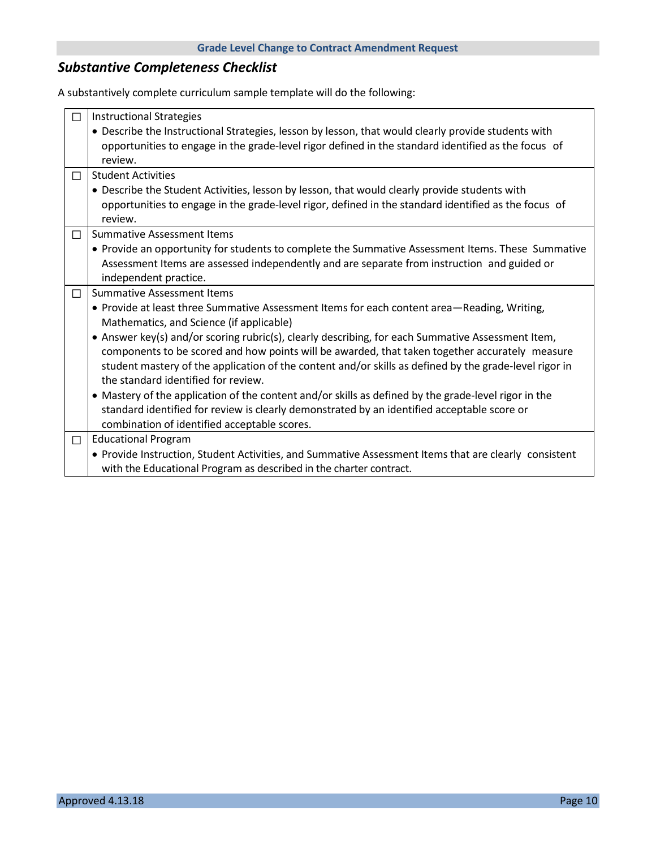## *Substantive Completeness Checklist*

A substantively complete curriculum sample template will do the following:

| П      | <b>Instructional Strategies</b>                                                                        |
|--------|--------------------------------------------------------------------------------------------------------|
|        | • Describe the Instructional Strategies, lesson by lesson, that would clearly provide students with    |
|        | opportunities to engage in the grade-level rigor defined in the standard identified as the focus of    |
|        | review.                                                                                                |
| □      | <b>Student Activities</b>                                                                              |
|        | • Describe the Student Activities, lesson by lesson, that would clearly provide students with          |
|        | opportunities to engage in the grade-level rigor, defined in the standard identified as the focus of   |
|        | review.                                                                                                |
| □      | <b>Summative Assessment Items</b>                                                                      |
|        | • Provide an opportunity for students to complete the Summative Assessment Items. These Summative      |
|        | Assessment Items are assessed independently and are separate from instruction and guided or            |
|        | independent practice.                                                                                  |
| □      | <b>Summative Assessment Items</b>                                                                      |
|        | • Provide at least three Summative Assessment Items for each content area-Reading, Writing,            |
|        | Mathematics, and Science (if applicable)                                                               |
|        | • Answer key(s) and/or scoring rubric(s), clearly describing, for each Summative Assessment Item,      |
|        | components to be scored and how points will be awarded, that taken together accurately measure         |
|        | student mastery of the application of the content and/or skills as defined by the grade-level rigor in |
|        | the standard identified for review.                                                                    |
|        | • Mastery of the application of the content and/or skills as defined by the grade-level rigor in the   |
|        | standard identified for review is clearly demonstrated by an identified acceptable score or            |
|        | combination of identified acceptable scores.                                                           |
| $\Box$ | <b>Educational Program</b>                                                                             |
|        | • Provide Instruction, Student Activities, and Summative Assessment Items that are clearly consistent  |
|        | with the Educational Program as described in the charter contract.                                     |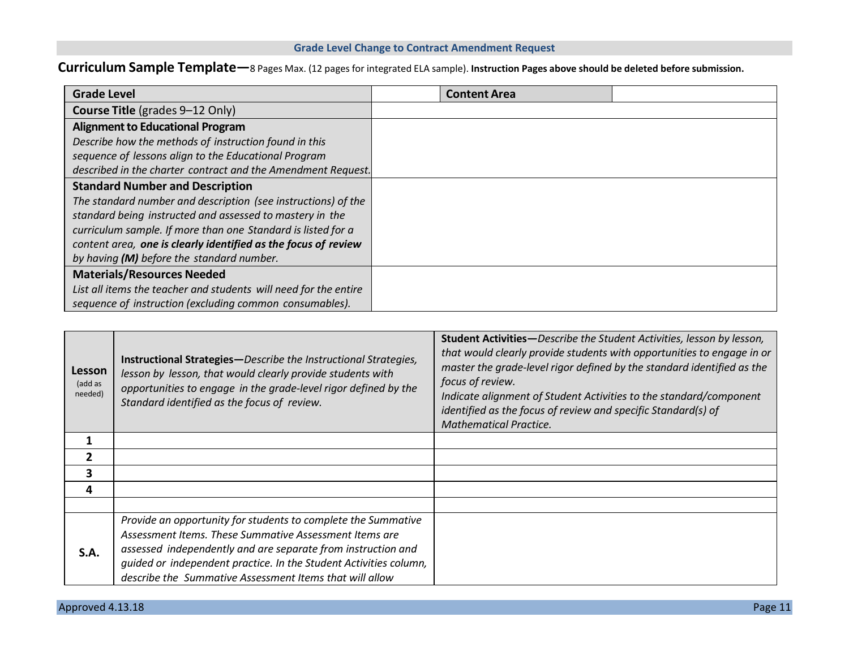## **Curriculum Sample Template—**8 Pages Max. (12 pages for integrated ELA sample). **Instruction Pages above should be deleted before submission.**

| <b>Grade Level</b>                                               | <b>Content Area</b> |  |
|------------------------------------------------------------------|---------------------|--|
| <b>Course Title (grades 9-12 Only)</b>                           |                     |  |
| <b>Alignment to Educational Program</b>                          |                     |  |
| Describe how the methods of instruction found in this            |                     |  |
| sequence of lessons align to the Educational Program             |                     |  |
| described in the charter contract and the Amendment Request.     |                     |  |
| <b>Standard Number and Description</b>                           |                     |  |
| The standard number and description (see instructions) of the    |                     |  |
| standard being instructed and assessed to mastery in the         |                     |  |
| curriculum sample. If more than one Standard is listed for a     |                     |  |
| content area, one is clearly identified as the focus of review   |                     |  |
| by having (M) before the standard number.                        |                     |  |
| <b>Materials/Resources Needed</b>                                |                     |  |
| List all items the teacher and students will need for the entire |                     |  |
| sequence of instruction (excluding common consumables).          |                     |  |

| Lesson<br>(add as<br>needed) | <b>Instructional Strategies</b> —Describe the Instructional Strategies,<br>lesson by lesson, that would clearly provide students with<br>opportunities to engage in the grade-level rigor defined by the<br>Standard identified as the focus of review. | <b>Student Activities</b> -Describe the Student Activities, lesson by lesson,<br>that would clearly provide students with opportunities to engage in or<br>master the grade-level rigor defined by the standard identified as the<br>focus of review.<br>Indicate alignment of Student Activities to the standard/component<br>identified as the focus of review and specific Standard(s) of<br><b>Mathematical Practice.</b> |
|------------------------------|---------------------------------------------------------------------------------------------------------------------------------------------------------------------------------------------------------------------------------------------------------|-------------------------------------------------------------------------------------------------------------------------------------------------------------------------------------------------------------------------------------------------------------------------------------------------------------------------------------------------------------------------------------------------------------------------------|
| 1                            |                                                                                                                                                                                                                                                         |                                                                                                                                                                                                                                                                                                                                                                                                                               |
| $\overline{2}$               |                                                                                                                                                                                                                                                         |                                                                                                                                                                                                                                                                                                                                                                                                                               |
| 3                            |                                                                                                                                                                                                                                                         |                                                                                                                                                                                                                                                                                                                                                                                                                               |
| 4                            |                                                                                                                                                                                                                                                         |                                                                                                                                                                                                                                                                                                                                                                                                                               |
|                              |                                                                                                                                                                                                                                                         |                                                                                                                                                                                                                                                                                                                                                                                                                               |
|                              | Provide an opportunity for students to complete the Summative                                                                                                                                                                                           |                                                                                                                                                                                                                                                                                                                                                                                                                               |
|                              | Assessment Items. These Summative Assessment Items are                                                                                                                                                                                                  |                                                                                                                                                                                                                                                                                                                                                                                                                               |
| S.A.                         | assessed independently and are separate from instruction and                                                                                                                                                                                            |                                                                                                                                                                                                                                                                                                                                                                                                                               |
|                              | guided or independent practice. In the Student Activities column,                                                                                                                                                                                       |                                                                                                                                                                                                                                                                                                                                                                                                                               |
|                              | describe the Summative Assessment Items that will allow                                                                                                                                                                                                 |                                                                                                                                                                                                                                                                                                                                                                                                                               |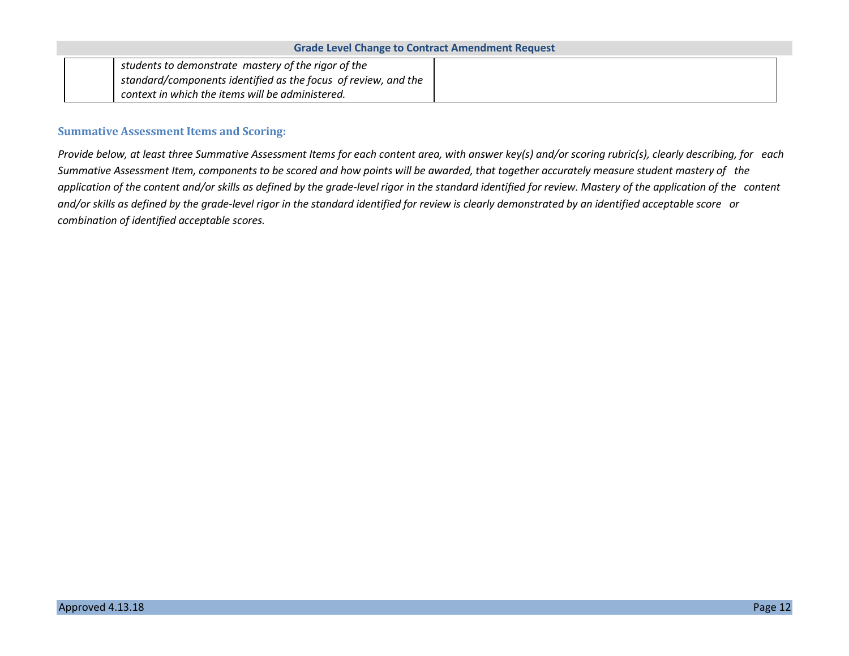| <b>Grade Level Change to Contract Amendment Request</b>        |  |  |
|----------------------------------------------------------------|--|--|
| students to demonstrate mastery of the rigor of the            |  |  |
| standard/components identified as the focus of review, and the |  |  |
| context in which the items will be administered.               |  |  |

### **Summative Assessment Items and Scoring:**

Provide below, at least three Summative Assessment Items for each content area, with answer key(s) and/or scoring rubric(s), clearly describing, for each Summative Assessment Item, components to be scored and how points will be awarded, that together accurately measure student mastery of the application of the content and/or skills as defined by the grade-level rigor in the standard identified for review. Mastery of the application of the content and/or skills as defined by the grade-level rigor in the standard identified for review is clearly demonstrated by an identified acceptable score or *combination of identified acceptable scores.*